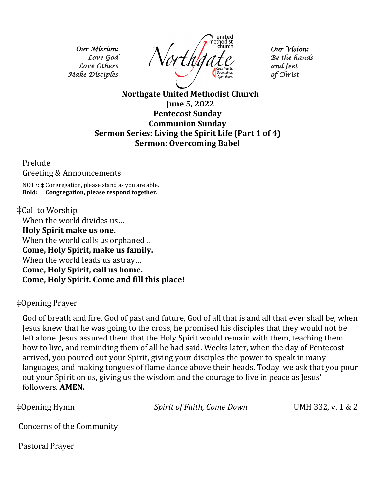*Our Mission: Love God Love Others Make Disciples* 



*Our Vision: Be the hands and feet of Christ* 

**Northgate United Methodist Church June 5, 2022 Pentecost Sunday Communion Sunday Sermon Series: Living the Spirit Life (Part 1 of 4) Sermon: Overcoming Babel**

 Prelude Greeting & Announcements

NOTE: **‡** Congregation, please stand as you are able. **Bold: Congregation, please respond together.** 

‡Call to Worship When the world divides us… **Holy Spirit make us one.** When the world calls us orphaned… **Come, Holy Spirit, make us family.** When the world leads us astray... **Come, Holy Spirit, call us home. Come, Holy Spirit. Come and fill this place!**

‡Opening Prayer

God of breath and fire, God of past and future, God of all that is and all that ever shall be, when Jesus knew that he was going to the cross, he promised his disciples that they would not be left alone. Jesus assured them that the Holy Spirit would remain with them, teaching them how to live, and reminding them of all he had said. Weeks later, when the day of Pentecost arrived, you poured out your Spirit, giving your disciples the power to speak in many languages, and making tongues of flame dance above their heads. Today, we ask that you pour out your Spirit on us, giving us the wisdom and the courage to live in peace as Jesus' followers. **AMEN.**

| ‡Opening Hymn | Spirit of Faith, Come Down | UMH 332, v. 1 & 2 |
|---------------|----------------------------|-------------------|
|               |                            |                   |

Concerns of the Community

Pastoral Prayer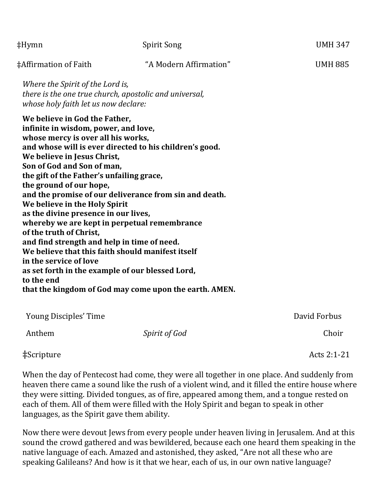| ‡Hymn                                                                                                                                                                                                                                                                                                                                                                                                                                                                                                                                                                                                                                                                                                                                                                               | <b>Spirit Song</b>     | <b>UMH 347</b> |
|-------------------------------------------------------------------------------------------------------------------------------------------------------------------------------------------------------------------------------------------------------------------------------------------------------------------------------------------------------------------------------------------------------------------------------------------------------------------------------------------------------------------------------------------------------------------------------------------------------------------------------------------------------------------------------------------------------------------------------------------------------------------------------------|------------------------|----------------|
| ‡Affirmation of Faith                                                                                                                                                                                                                                                                                                                                                                                                                                                                                                                                                                                                                                                                                                                                                               | "A Modern Affirmation" | <b>UMH 885</b> |
| Where the Spirit of the Lord is,<br>there is the one true church, apostolic and universal,<br>whose holy faith let us now declare:                                                                                                                                                                                                                                                                                                                                                                                                                                                                                                                                                                                                                                                  |                        |                |
| We believe in God the Father,<br>infinite in wisdom, power, and love,<br>whose mercy is over all his works,<br>and whose will is ever directed to his children's good.<br>We believe in Jesus Christ,<br>Son of God and Son of man,<br>the gift of the Father's unfailing grace,<br>the ground of our hope,<br>and the promise of our deliverance from sin and death.<br>We believe in the Holy Spirit<br>as the divine presence in our lives,<br>whereby we are kept in perpetual remembrance<br>of the truth of Christ,<br>and find strength and help in time of need.<br>We believe that this faith should manifest itself<br>in the service of love<br>as set forth in the example of our blessed Lord,<br>to the end<br>that the kingdom of God may come upon the earth. AMEN. |                        |                |
| <b>Young Disciples' Time</b>                                                                                                                                                                                                                                                                                                                                                                                                                                                                                                                                                                                                                                                                                                                                                        |                        | David Forbus   |

Anthem *Spirit of God* Choir

‡Scripture Acts 2:1-21

When the day of Pentecost had come, they were all together in one place. And suddenly from heaven there came a sound like the rush of a violent wind, and it filled the entire house where they were sitting. Divided tongues, as of fire, appeared among them, and a tongue rested on each of them. All of them were filled with the Holy Spirit and began to speak in other languages, as the Spirit gave them ability.

Now there were devout Jews from every people under heaven living in Jerusalem. And at this sound the crowd gathered and was bewildered, because each one heard them speaking in the native language of each. Amazed and astonished, they asked, "Are not all these who are speaking Galileans? And how is it that we hear, each of us, in our own native language?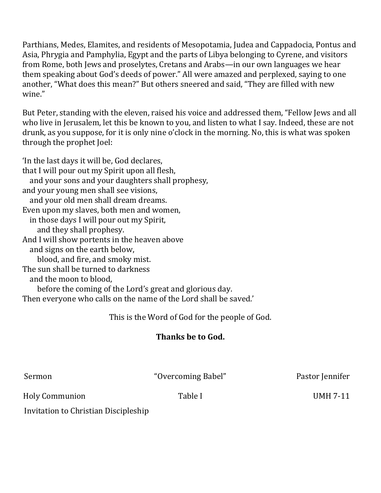Parthians, Medes, Elamites, and residents of Mesopotamia, Judea and Cappadocia, Pontus and Asia, Phrygia and Pamphylia, Egypt and the parts of Libya belonging to Cyrene, and visitors from Rome, both Jews and proselytes, Cretans and Arabs—in our own languages we hear them speaking about God's deeds of power." All were amazed and perplexed, saying to one another, "What does this mean?" But others sneered and said, "They are filled with new wine."

But Peter, standing with the eleven, raised his voice and addressed them, "Fellow Jews and all who live in Jerusalem, let this be known to you, and listen to what I say. Indeed, these are not drunk, as you suppose, for it is only nine o'clock in the morning. No, this is what was spoken through the prophet Joel:

'In the last days it will be, God declares, that I will pour out my Spirit upon all flesh, and your sons and your daughters shall prophesy, and your young men shall see visions, and your old men shall dream dreams. Even upon my slaves, both men and women, in those days I will pour out my Spirit, and they shall prophesy. And I will show portents in the heaven above and signs on the earth below, blood, and fire, and smoky mist. The sun shall be turned to darkness and the moon to blood, before the coming of the Lord's great and glorious day. Then everyone who calls on the name of the Lord shall be saved.'

This is the Word of God for the people of God.

# **Thanks be to God.**

"Overcoming Babel" Pastor Jennifer

Holy Communion Table I UMH 7-11

Invitation to Christian Discipleship